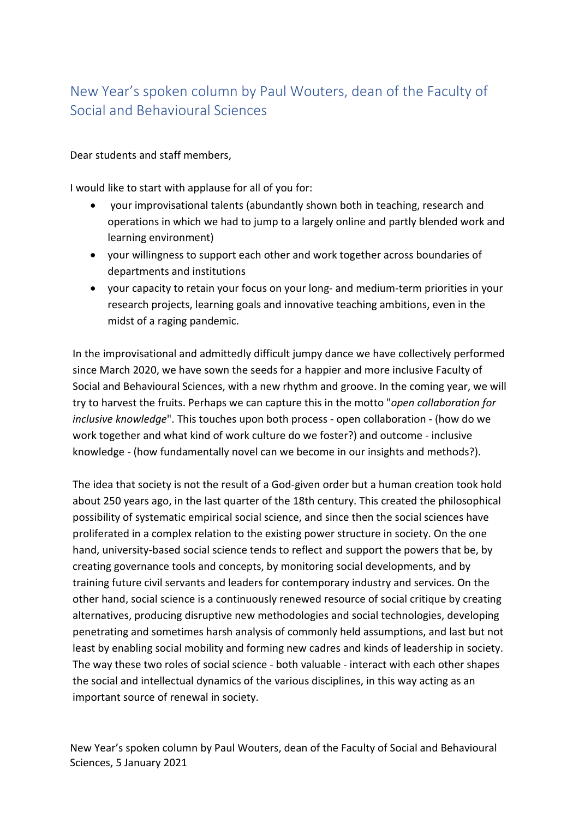## New Year's spoken column by Paul Wouters, dean of the Faculty of Social and Behavioural Sciences

Dear students and staff members,

I would like to start with applause for all of you for:

- your improvisational talents (abundantly shown both in teaching, research and operations in which we had to jump to a largely online and partly blended work and learning environment)
- your willingness to support each other and work together across boundaries of departments and institutions
- your capacity to retain your focus on your long- and medium-term priorities in your research projects, learning goals and innovative teaching ambitions, even in the midst of a raging pandemic.

In the improvisational and admittedly difficult jumpy dance we have collectively performed since March 2020, we have sown the seeds for a happier and more inclusive Faculty of Social and Behavioural Sciences, with a new rhythm and groove. In the coming year, we will try to harvest the fruits. Perhaps we can capture this in the motto "*open collaboration for inclusive knowledge*". This touches upon both process - open collaboration - (how do we work together and what kind of work culture do we foster?) and outcome - inclusive knowledge - (how fundamentally novel can we become in our insights and methods?).

The idea that society is not the result of a God-given order but a human creation took hold about 250 years ago, in the last quarter of the 18th century. This created the philosophical possibility of systematic empirical social science, and since then the social sciences have proliferated in a complex relation to the existing power structure in society. On the one hand, university-based social science tends to reflect and support the powers that be, by creating governance tools and concepts, by monitoring social developments, and by training future civil servants and leaders for contemporary industry and services. On the other hand, social science is a continuously renewed resource of social critique by creating alternatives, producing disruptive new methodologies and social technologies, developing penetrating and sometimes harsh analysis of commonly held assumptions, and last but not least by enabling social mobility and forming new cadres and kinds of leadership in society. The way these two roles of social science - both valuable - interact with each other shapes the social and intellectual dynamics of the various disciplines, in this way acting as an important source of renewal in society.

New Year's spoken column by Paul Wouters, dean of the Faculty of Social and Behavioural Sciences, 5 January 2021